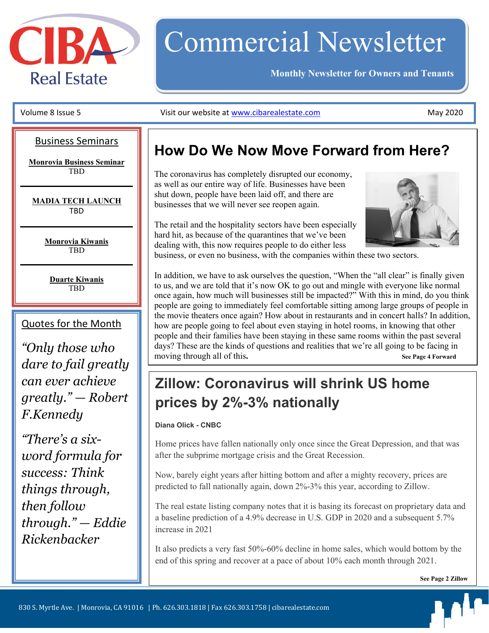

# Commercial Newsletter

**Monthly Newsletter for Owners and Tenants** 

#### Business Seminars

**Monrovia Business Seminar TRD** 

**MADIA TECH LAUNCH**  TBD

> **Monrovia Kiwanis TRD**

**Duarte Kiwanis**  TBD

#### Quotes for the Month

*"Only those who dare to fail greatly can ever achieve greatly." — Robert F.Kennedy* 

 *word formula for Rickenbacker "There's a sixsuccess: Think things through, then follow through." — Eddie* 

#### Volume 8 Issue 5 **May 2020** Visit our website at www.cibarealestate.com  **1999** May 2020

### **How Do We Now Move Forward from Here?**

The coronavirus has completely disrupted our economy, as well as our entire way of life. Businesses have been shut down, people have been laid off, and there are businesses that we will never see reopen again.

The retail and the hospitality sectors have been especially hard hit, as because of the quarantines that we've been dealing with, this now requires people to do either less

business, or even no business, with the companies within these two sectors.

In addition, we have to ask ourselves the question, "When the "all clear" is finally given to us, and we are told that it's now OK to go out and mingle with everyone like normal once again, how much will businesses still be impacted?" With this in mind, do you think people are going to immediately feel comfortable sitting among large groups of people in the movie theaters once again? How about in restaurants and in concert halls? In addition, how are people going to feel about even staying in hotel rooms, in knowing that other people and their families have been staying in these same rooms within the past several days? These are the kinds of questions and realities that we're all going to be facing in moving through all of this**. See Page 4 Forward**

### **Zillow: Coronavirus will shrink US home prices by 2%-3% nationally**

#### **Diana Olick - CNBC**

Home prices have fallen nationally only once since the Great Depression, and that was after the subprime mortgage crisis and the Great Recession.

Now, barely eight years after hitting bottom and after a mighty recovery, prices are predicted to fall nationally again, down 2%-3% this year, according to Zillow.

The real estate listing company notes that it is basing its forecast on proprietary data and a baseline prediction of a 4.9% decrease in U.S. GDP in 2020 and a subsequent 5.7% increase in 2021

It also predicts a very fast 50%-60% decline in home sales, which would bottom by the end of this spring and recover at a pace of about 10% each month through 2021.

**See Page 2 Zillow**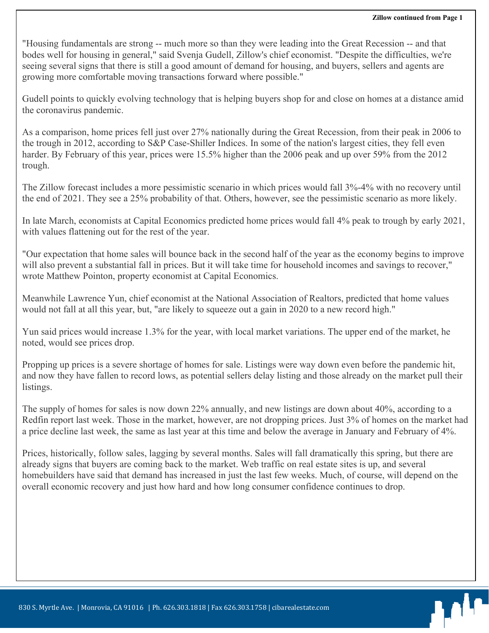bodes well for housing in general," said Svenja Gudell, Zillow's chief economist. "Despite the difficulties, we're<br>seeing several signs that there is still a good amount of demand for housing, and buyers, sellers and agent "Housing fundamentals are strong -- much more so than they were leading into the Great Recession -- and that bodes well for housing in general," said Svenja Gudell, Zillow's chief economist. "Despite the difficulties, we're growing more comfortable moving transactions forward where possible."

Gudell points to quickly evolving technology that is helping buyers shop for and close on homes at a distance amid the coronavirus pandemic.

As a comparison, home prices fell just over 27% nationally during the Great Recession, from their peak in 2006 to the trough in 2012, according to S&P Case-Shiller Indices. In some of the nation's largest cities, they fell even harder. By February of this year, prices were 15.5% higher than the 2006 peak and up over 59% from the 2012 trough.

The Zillow forecast includes a more pessimistic scenario in which prices would fall 3%-4% with no recovery until the end of 2021. They see a 25% probability of that. Others, however, see the pessimistic scenario as more likely.

In late March, economists at Capital Economics predicted home prices would fall 4% peak to trough by early 2021, with values flattening out for the rest of the year.

"Our expectation that home sales will bounce back in the second half of the year as the economy begins to improve will also prevent a substantial fall in prices. But it will take time for household incomes and savings to recover," wrote Matthew Pointon, property economist at Capital Economics.

Meanwhile Lawrence Yun, chief economist at the National Association of Realtors, predicted that home values would not fall at all this year, but, "are likely to squeeze out a gain in 2020 to a new record high."

Yun said prices would increase 1.3% for the year, with local market variations. The upper end of the market, he noted, would see prices drop.

Propping up prices is a severe shortage of homes for sale. Listings were way down even before the pandemic hit, and now they have fallen to record lows, as potential sellers delay listing and those already on the market pull their listings.

The supply of homes for sales is now down 22% annually, and new listings are down about 40%, according to a Redfin report last week. Those in the market, however, are not dropping prices. Just 3% of homes on the market had a price decline last week, the same as last year at this time and below the average in January and February of 4%.

Prices, historically, follow sales, lagging by several months. Sales will fall dramatically this spring, but there are already signs that buyers are coming back to the market. Web traffic on real estate sites is up, and several homebuilders have said that demand has increased in just the last few weeks. Much, of course, will depend on the overall economic recovery and just how hard and how long consumer confidence continues to drop.

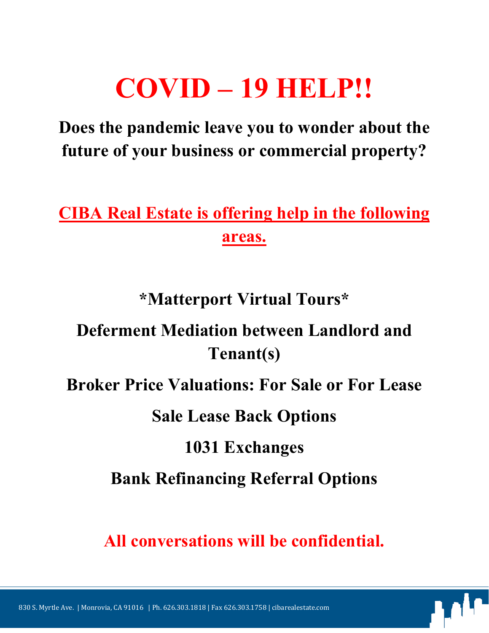# **COVID – 19 HELP!!**

**Does the pandemic leave you to wonder about the future of your business or commercial property?** 

**CIBA Real Estate is offering help in the following areas.** 

**\*Matterport Virtual Tours\*** 

# **Deferment Mediation between Landlord and Tenant(s)**

**Broker Price Valuations: For Sale or For Lease** 

**Sale Lease Back Options** 

## **1031 Exchanges**

**Bank Refinancing Referral Options** 

**All conversations will be confidential.**